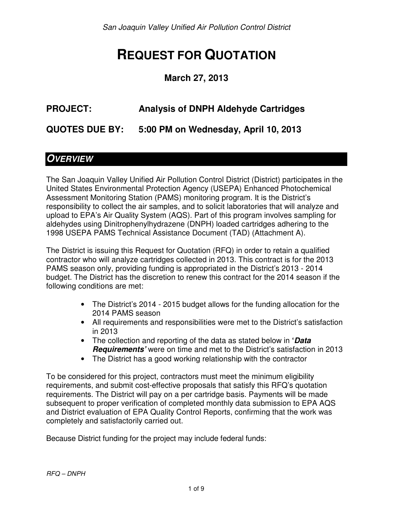# **REQUEST FOR QUOTATION**

#### **March 27, 2013**

# **PROJECT: Analysis of DNPH Aldehyde Cartridges**

**QUOTES DUE BY: 5:00 PM on Wednesday, April 10, 2013** 

### **OVERVIEW**

The San Joaquin Valley Unified Air Pollution Control District (District) participates in the United States Environmental Protection Agency (USEPA) Enhanced Photochemical Assessment Monitoring Station (PAMS) monitoring program. It is the District's responsibility to collect the air samples, and to solicit laboratories that will analyze and upload to EPA's Air Quality System (AQS). Part of this program involves sampling for aldehydes using Dinitrophenylhydrazene (DNPH) loaded cartridges adhering to the 1998 USEPA PAMS Technical Assistance Document (TAD) (Attachment A).

The District is issuing this Request for Quotation (RFQ) in order to retain a qualified contractor who will analyze cartridges collected in 2013. This contract is for the 2013 PAMS season only, providing funding is appropriated in the District's 2013 - 2014 budget. The District has the discretion to renew this contract for the 2014 season if the following conditions are met:

- The District's 2014 2015 budget allows for the funding allocation for the 2014 PAMS season
- All requirements and responsibilities were met to the District's satisfaction in 2013
- The collection and reporting of the data as stated below in **'Data Requirements'** were on time and met to the District's satisfaction in 2013
- The District has a good working relationship with the contractor

To be considered for this project, contractors must meet the minimum eligibility requirements, and submit cost-effective proposals that satisfy this RFQ's quotation requirements. The District will pay on a per cartridge basis. Payments will be made subsequent to proper verification of completed monthly data submission to EPA AQS and District evaluation of EPA Quality Control Reports, confirming that the work was completely and satisfactorily carried out.

Because District funding for the project may include federal funds: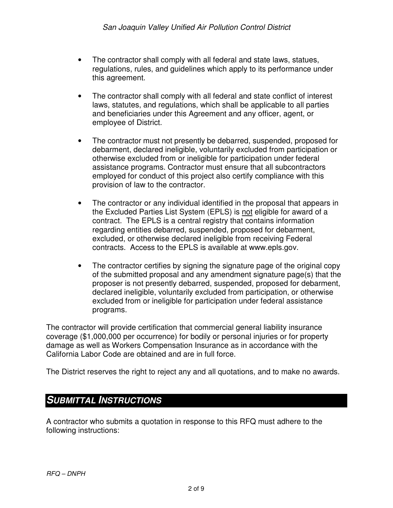- The contractor shall comply with all federal and state laws, statues, regulations, rules, and guidelines which apply to its performance under this agreement.
- The contractor shall comply with all federal and state conflict of interest laws, statutes, and regulations, which shall be applicable to all parties and beneficiaries under this Agreement and any officer, agent, or employee of District.
- The contractor must not presently be debarred, suspended, proposed for debarment, declared ineligible, voluntarily excluded from participation or otherwise excluded from or ineligible for participation under federal assistance programs. Contractor must ensure that all subcontractors employed for conduct of this project also certify compliance with this provision of law to the contractor.
- The contractor or any individual identified in the proposal that appears in the Excluded Parties List System (EPLS) is not eligible for award of a contract. The EPLS is a central registry that contains information regarding entities debarred, suspended, proposed for debarment, excluded, or otherwise declared ineligible from receiving Federal contracts. Access to the EPLS is available at www.epls.gov.
- The contractor certifies by signing the signature page of the original copy of the submitted proposal and any amendment signature page(s) that the proposer is not presently debarred, suspended, proposed for debarment, declared ineligible, voluntarily excluded from participation, or otherwise excluded from or ineligible for participation under federal assistance programs.

The contractor will provide certification that commercial general liability insurance coverage (\$1,000,000 per occurrence) for bodily or personal injuries or for property damage as well as Workers Compensation Insurance as in accordance with the California Labor Code are obtained and are in full force.

The District reserves the right to reject any and all quotations, and to make no awards.

### **SUBMITTAL INSTRUCTIONS**

A contractor who submits a quotation in response to this RFQ must adhere to the following instructions: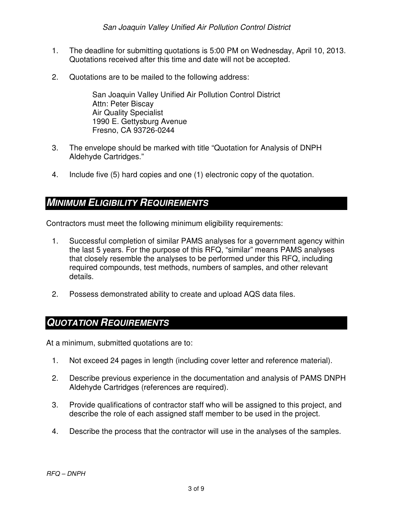- 1. The deadline for submitting quotations is 5:00 PM on Wednesday, April 10, 2013. Quotations received after this time and date will not be accepted.
- 2. Quotations are to be mailed to the following address:

San Joaquin Valley Unified Air Pollution Control District Attn: Peter Biscay Air Quality Specialist 1990 E. Gettysburg Avenue Fresno, CA 93726-0244

- 3. The envelope should be marked with title "Quotation for Analysis of DNPH Aldehyde Cartridges."
- 4. Include five (5) hard copies and one (1) electronic copy of the quotation.

### **MINIMUM ELIGIBILITY REQUIREMENTS**

Contractors must meet the following minimum eligibility requirements:

- 1. Successful completion of similar PAMS analyses for a government agency within the last 5 years. For the purpose of this RFQ, "similar" means PAMS analyses that closely resemble the analyses to be performed under this RFQ, including required compounds, test methods, numbers of samples, and other relevant details.
- 2. Possess demonstrated ability to create and upload AQS data files.

#### **QUOTATION REQUIREMENTS**

At a minimum, submitted quotations are to:

- 1. Not exceed 24 pages in length (including cover letter and reference material).
- 2. Describe previous experience in the documentation and analysis of PAMS DNPH Aldehyde Cartridges (references are required).
- 3. Provide qualifications of contractor staff who will be assigned to this project, and describe the role of each assigned staff member to be used in the project.
- 4. Describe the process that the contractor will use in the analyses of the samples.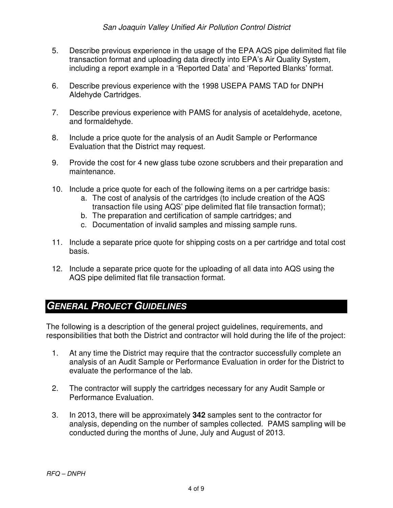- 5. Describe previous experience in the usage of the EPA AQS pipe delimited flat file transaction format and uploading data directly into EPA's Air Quality System, including a report example in a 'Reported Data' and 'Reported Blanks' format.
- 6. Describe previous experience with the 1998 USEPA PAMS TAD for DNPH Aldehyde Cartridges.
- 7. Describe previous experience with PAMS for analysis of acetaldehyde, acetone, and formaldehyde.
- 8. Include a price quote for the analysis of an Audit Sample or Performance Evaluation that the District may request.
- 9. Provide the cost for 4 new glass tube ozone scrubbers and their preparation and maintenance.
- 10. Include a price quote for each of the following items on a per cartridge basis:
	- a. The cost of analysis of the cartridges (to include creation of the AQS
	- transaction file using AQS' pipe delimited flat file transaction format);
	- b. The preparation and certification of sample cartridges; and
	- c. Documentation of invalid samples and missing sample runs.
- 11. Include a separate price quote for shipping costs on a per cartridge and total cost basis.
- 12. Include a separate price quote for the uploading of all data into AQS using the AQS pipe delimited flat file transaction format.

### **GENERAL PROJECT GUIDELINES**

The following is a description of the general project guidelines, requirements, and responsibilities that both the District and contractor will hold during the life of the project:

- 1. At any time the District may require that the contractor successfully complete an analysis of an Audit Sample or Performance Evaluation in order for the District to evaluate the performance of the lab.
- 2. The contractor will supply the cartridges necessary for any Audit Sample or Performance Evaluation.
- 3. In 2013, there will be approximately **342** samples sent to the contractor for analysis, depending on the number of samples collected. PAMS sampling will be conducted during the months of June, July and August of 2013.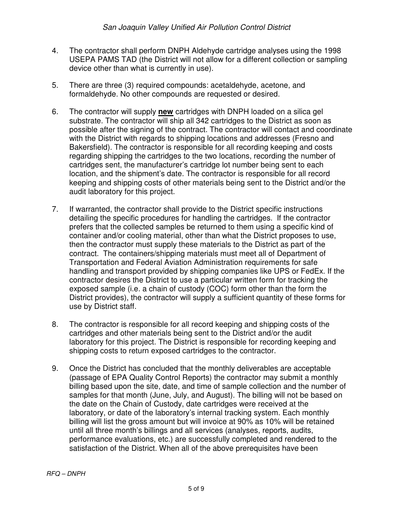- 4. The contractor shall perform DNPH Aldehyde cartridge analyses using the 1998 USEPA PAMS TAD (the District will not allow for a different collection or sampling device other than what is currently in use).
- 5. There are three (3) required compounds: acetaldehyde, acetone, and formaldehyde. No other compounds are requested or desired.
- 6. The contractor will supply **new** cartridges with DNPH loaded on a silica gel substrate. The contractor will ship all 342 cartridges to the District as soon as possible after the signing of the contract. The contractor will contact and coordinate with the District with regards to shipping locations and addresses (Fresno and Bakersfield). The contractor is responsible for all recording keeping and costs regarding shipping the cartridges to the two locations, recording the number of cartridges sent, the manufacturer's cartridge lot number being sent to each location, and the shipment's date. The contractor is responsible for all record keeping and shipping costs of other materials being sent to the District and/or the audit laboratory for this project.
- 7. If warranted, the contractor shall provide to the District specific instructions detailing the specific procedures for handling the cartridges. If the contractor prefers that the collected samples be returned to them using a specific kind of container and/or cooling material, other than what the District proposes to use, then the contractor must supply these materials to the District as part of the contract. The containers/shipping materials must meet all of Department of Transportation and Federal Aviation Administration requirements for safe handling and transport provided by shipping companies like UPS or FedEx. If the contractor desires the District to use a particular written form for tracking the exposed sample (i.e. a chain of custody (COC) form other than the form the District provides), the contractor will supply a sufficient quantity of these forms for use by District staff.
- 8. The contractor is responsible for all record keeping and shipping costs of the cartridges and other materials being sent to the District and/or the audit laboratory for this project. The District is responsible for recording keeping and shipping costs to return exposed cartridges to the contractor.
- 9. Once the District has concluded that the monthly deliverables are acceptable (passage of EPA Quality Control Reports) the contractor may submit a monthly billing based upon the site, date, and time of sample collection and the number of samples for that month (June, July, and August). The billing will not be based on the date on the Chain of Custody, date cartridges were received at the laboratory, or date of the laboratory's internal tracking system. Each monthly billing will list the gross amount but will invoice at 90% as 10% will be retained until all three month's billings and all services (analyses, reports, audits, performance evaluations, etc.) are successfully completed and rendered to the satisfaction of the District. When all of the above prerequisites have been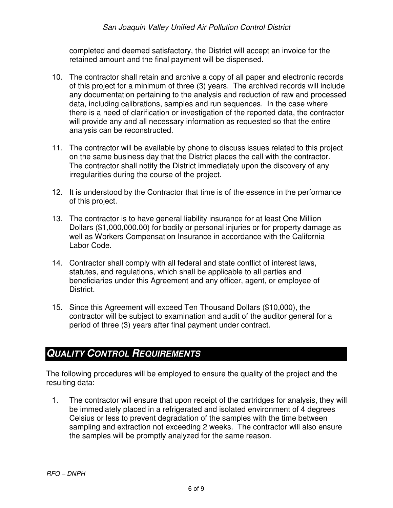#### San Joaquin Valley Unified Air Pollution Control District

completed and deemed satisfactory, the District will accept an invoice for the retained amount and the final payment will be dispensed.

- 10. The contractor shall retain and archive a copy of all paper and electronic records of this project for a minimum of three (3) years. The archived records will include any documentation pertaining to the analysis and reduction of raw and processed data, including calibrations, samples and run sequences. In the case where there is a need of clarification or investigation of the reported data, the contractor will provide any and all necessary information as requested so that the entire analysis can be reconstructed.
- 11. The contractor will be available by phone to discuss issues related to this project on the same business day that the District places the call with the contractor. The contractor shall notify the District immediately upon the discovery of any irregularities during the course of the project.
- 12. It is understood by the Contractor that time is of the essence in the performance of this project.
- 13. The contractor is to have general liability insurance for at least One Million Dollars (\$1,000,000.00) for bodily or personal injuries or for property damage as well as Workers Compensation Insurance in accordance with the California Labor Code.
- 14. Contractor shall comply with all federal and state conflict of interest laws, statutes, and regulations, which shall be applicable to all parties and beneficiaries under this Agreement and any officer, agent, or employee of District.
- 15. Since this Agreement will exceed Ten Thousand Dollars (\$10,000), the contractor will be subject to examination and audit of the auditor general for a period of three (3) years after final payment under contract.

### **QUALITY CONTROL REQUIREMENTS**

The following procedures will be employed to ensure the quality of the project and the resulting data:

1. The contractor will ensure that upon receipt of the cartridges for analysis, they will be immediately placed in a refrigerated and isolated environment of 4 degrees Celsius or less to prevent degradation of the samples with the time between sampling and extraction not exceeding 2 weeks. The contractor will also ensure the samples will be promptly analyzed for the same reason.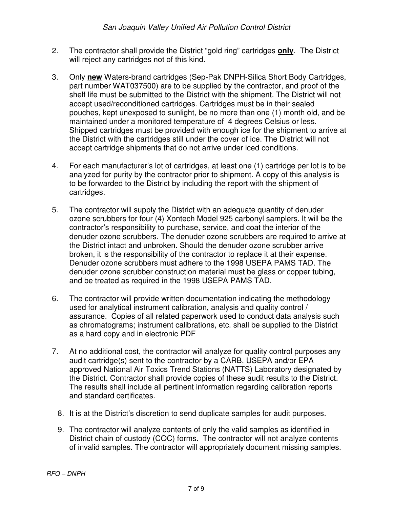- 2. The contractor shall provide the District "gold ring" cartridges **only**. The District will reject any cartridges not of this kind.
- 3. Only **new** Waters-brand cartridges (Sep-Pak DNPH-Silica Short Body Cartridges, part number WAT037500) are to be supplied by the contractor, and proof of the shelf life must be submitted to the District with the shipment. The District will not accept used/reconditioned cartridges. Cartridges must be in their sealed pouches, kept unexposed to sunlight, be no more than one (1) month old, and be maintained under a monitored temperature of 4 degrees Celsius or less. Shipped cartridges must be provided with enough ice for the shipment to arrive at the District with the cartridges still under the cover of ice. The District will not accept cartridge shipments that do not arrive under iced conditions.
- 4. For each manufacturer's lot of cartridges, at least one (1) cartridge per lot is to be analyzed for purity by the contractor prior to shipment. A copy of this analysis is to be forwarded to the District by including the report with the shipment of cartridges.
- 5. The contractor will supply the District with an adequate quantity of denuder ozone scrubbers for four (4) Xontech Model 925 carbonyl samplers. It will be the contractor's responsibility to purchase, service, and coat the interior of the denuder ozone scrubbers. The denuder ozone scrubbers are required to arrive at the District intact and unbroken. Should the denuder ozone scrubber arrive broken, it is the responsibility of the contractor to replace it at their expense. Denuder ozone scrubbers must adhere to the 1998 USEPA PAMS TAD. The denuder ozone scrubber construction material must be glass or copper tubing, and be treated as required in the 1998 USEPA PAMS TAD.
- 6. The contractor will provide written documentation indicating the methodology used for analytical instrument calibration, analysis and quality control / assurance. Copies of all related paperwork used to conduct data analysis such as chromatograms; instrument calibrations, etc. shall be supplied to the District as a hard copy and in electronic PDF
- 7. At no additional cost, the contractor will analyze for quality control purposes any audit cartridge(s) sent to the contractor by a CARB, USEPA and/or EPA approved National Air Toxics Trend Stations (NATTS) Laboratory designated by the District. Contractor shall provide copies of these audit results to the District. The results shall include all pertinent information regarding calibration reports and standard certificates.
	- 8. It is at the District's discretion to send duplicate samples for audit purposes.
	- 9. The contractor will analyze contents of only the valid samples as identified in District chain of custody (COC) forms. The contractor will not analyze contents of invalid samples. The contractor will appropriately document missing samples.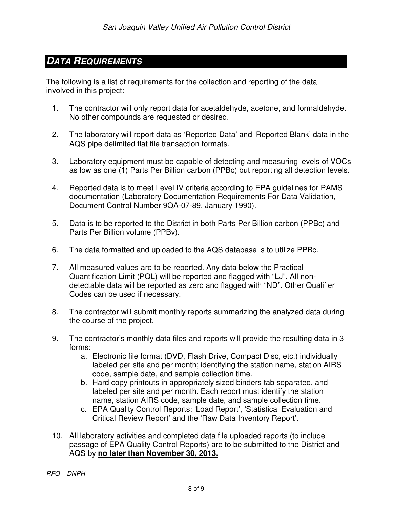## **DATA REQUIREMENTS**

The following is a list of requirements for the collection and reporting of the data involved in this project:

- 1. The contractor will only report data for acetaldehyde, acetone, and formaldehyde. No other compounds are requested or desired.
- 2. The laboratory will report data as 'Reported Data' and 'Reported Blank' data in the AQS pipe delimited flat file transaction formats.
- 3. Laboratory equipment must be capable of detecting and measuring levels of VOCs as low as one (1) Parts Per Billion carbon (PPBc) but reporting all detection levels.
- 4. Reported data is to meet Level IV criteria according to EPA guidelines for PAMS documentation (Laboratory Documentation Requirements For Data Validation, Document Control Number 9QA-07-89, January 1990).
- 5. Data is to be reported to the District in both Parts Per Billion carbon (PPBc) and Parts Per Billion volume (PPBv).
- 6. The data formatted and uploaded to the AQS database is to utilize PPBc.
- 7. All measured values are to be reported. Any data below the Practical Quantification Limit (PQL) will be reported and flagged with "LJ". All nondetectable data will be reported as zero and flagged with "ND". Other Qualifier Codes can be used if necessary.
- 8. The contractor will submit monthly reports summarizing the analyzed data during the course of the project.
- 9. The contractor's monthly data files and reports will provide the resulting data in 3 forms:
	- a. Electronic file format (DVD, Flash Drive, Compact Disc, etc.) individually labeled per site and per month; identifying the station name, station AIRS code, sample date, and sample collection time.
	- b. Hard copy printouts in appropriately sized binders tab separated, and labeled per site and per month. Each report must identify the station name, station AIRS code, sample date, and sample collection time.
	- c. EPA Quality Control Reports: 'Load Report', 'Statistical Evaluation and Critical Review Report' and the 'Raw Data Inventory Report'.
- 10. All laboratory activities and completed data file uploaded reports (to include passage of EPA Quality Control Reports) are to be submitted to the District and AQS by **no later than November 30, 2013.**